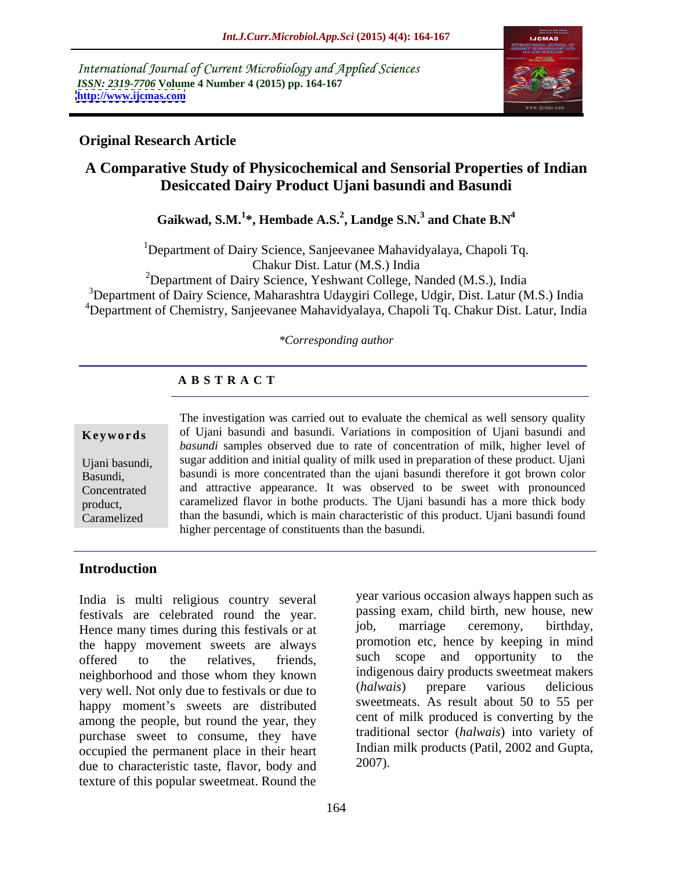International Journal of Current Microbiology and Applied Sciences *ISSN: 2319-7706* **Volume 4 Number 4 (2015) pp. 164-167 <http://www.ijcmas.com>**



# **Original Research Article**

# **A Comparative Study of Physicochemical and Sensorial Properties of Indian Desiccated Dairy Product Ujani basundi and Basundi**

**Gaikwad, S.M.<sup>1</sup> \*, Hembade A.S.<sup>2</sup> , Landge S.N.<sup>3</sup> and Chate B.N<sup>4</sup>**

<sup>1</sup>Department of Dairy Science, Sanjeevanee Mahavidyalaya, Chapoli Tq.

Chakur Dist. Latur (M.S.) India

<sup>2</sup>Department of Dairy Science, Yeshwant College, Nanded (M.S.), India

<sup>3</sup>Department of Dairy Science, Maharashtra Udaygiri College, Udgir, Dist. Latur (M.S.) India 4Department of Chemistry, Sanjeevanee Mahavidyalaya, Chapoli Tq. Chakur Dist. Latur, India

### *\*Corresponding author*

# **A B S T R A C T**

Caramelized

The investigation was carried out to evaluate the chemical as well sensory quality **Keywords** of Ujani basundi and basundi. Variations in composition of Ujani basundi and *basundi* samples observed due to rate of concentration of milk, higher level of sugar addition and initial quality of milk used in preparation of these product. Ujani Ujani basundi, Basundi, basundi is more concentrated than the ujani basundi therefore it got brown color and attractive appearance. It was observed to be sweet with pronounced Concentrated caramelized flavor in bothe products. The Ujani basundi has a more thick body product, than the basundi, which is main characteristic of this product. Ujani basundi found higher percentage of constituents than the basundi.

# **Introduction**

India is multi religious country several festivals are celebrated round the year. passing exam, child birth, new house, new<br>Hence many times during this festivals or at iob, marriage ceremony, birthday, Hence many times during this festivals or at the happy movement sweets are always the promotion etc, hence by keeping in mind<br>offered to the relatives friends such scope and opportunity to the offered to the relatives, friends, such scope and opportunity to the neighborhood and those whom they known help indigenous dairy products sweetmeat makers<br>were well Not only due to festivals or due to  $(halwais)$  prepare various delicious very well. Not only due to festivals or due to happy moment's sweets are distributed among the people, but round the year, they purchase sweet to consume, they have occupied the permanent place in their heart ludian<br>due to characteristic taste, flavor, body and 2007). due to characteristic taste, flavor, body and texture of this popular sweetmeat. Round the

year various occasion always happen such as passing exam, child birth, new house, new job, marriage ceremony, birthday, promotion etc, hence by keeping in mind scope and opportunity indigenous dairy products sweetmeat makers (*halwais*) prepare various delicious sweetmeats. As result about 50 to 55 per cent of milk produced is converting by the traditional sector (*halwais*) into variety of Indian milk products (Patil, 2002 and Gupta, 2007).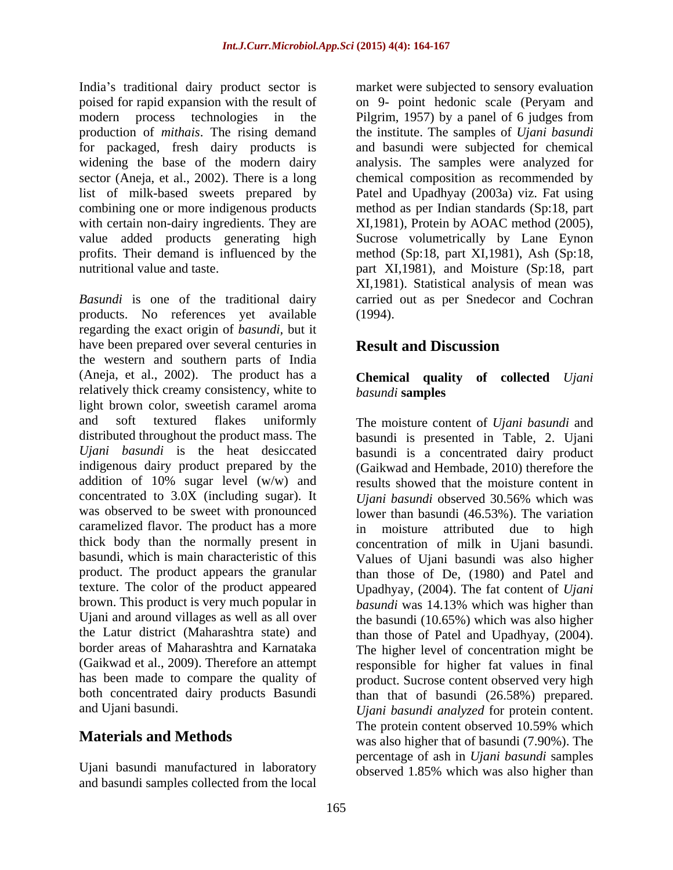India's traditional dairy product sector is production of *mithais*. The rising demand value added products generating high<br>profits. Their demand is influenced by the

*Basundi* is one of the traditional dairy carried out as per Snedecor and Cochran products. No references yet available regarding the exact origin of *basundi,* but it have been prepared over several centuries in **Result and Discussion** the western and southern parts of India (Aneja, et al., 2002). The product has a relatively thick creamy consistency, white to basundi samples light brown color, sweetish caramel aroma and soft textured flakes uniformly The moisture content of *Ujani basundi* and distributed throughout the product mass. The basundi is presented in Table, 2. Ujani *Ujani basundi* is the heat desiccated basundi is a concentrated dairy product indigenous dairy product prepared by the (Gaikwad and Hembade, 2010) therefore the addition of 10% sugar level (w/w) and concentrated to 3.0X (including sugar). It *Ujani basundi* observed 30.56% which was was observed to be sweet with pronounced lower than basundi (46.53%). The variation caramelized flavor. The product has a more thick body than the normally present in concentration of milk in Ujani basundi. basundi, which is main characteristic of this Values of Ujani basundi was also higher product. The product appears the granular than those of De, (1980) and Patel and texture. The color of the product appeared Upadhyay, (2004). The fat content of *Ujani*  brown. This product is very much popular in *basundi* was 14.13% which was higher than Ujani and around villages as well as all over the basundi (10.65%) which was also higher the Latur district (Maharashtra state) and than those of Patel and Upadhyay, (2004). border areas of Maharashtra and Karnataka The higher level of concentration might be (Gaikwad et al., 2009). Therefore an attempt responsible for higher fat values in final has been made to compare the quality of product. Sucrose content observed very high both concentrated dairy products Basundi than that of basundi (26.58%) prepared.

and basundi samples collected from the local

poised for rapid expansion with the result of on 9- point hedonic scale (Peryam and modern process technologies in the Pilgrim, 1957) by a panel of 6 judges from for packaged, fresh dairy products is and basundi were subjected for chemical widening the base of the modern dairy analysis. The samples were analyzed for sector (Aneja, et al., 2002). There is a long chemical composition as recommended by list of milk-based sweets prepared by Patel and Upadhyay (2003a) viz. Fat using combining one or more indigenous products method as per Indian standards (Sp:18, part with certain non-dairy ingredients. They are <br>
XI,1981), Protein by AOAC method (2005), profits. Their demand is influenced by the method (Sp:18, part XI,1981), Ash (Sp:18, nutritional value and taste. part XI,1981), and Moisture (Sp:18, part market were subjected to sensory evaluation the institute. The samples of *Ujani basundi* Sucrose volumetrically by Lane Eynon XI,1981). Statistical analysis of mean was (1994).

# **Result and Discussion**

## **Chemical quality of collected** *Ujani basundi* **samples**

and Ujani basundi. *Ujani basundi analyzed* for protein content. **Materials and Methods** was also higher that of basundi (7.90%). The Ujani basundi manufactured in laboratory observed 1.85% which was also higher thanresults showed that the moisture content in *Ujani basundi* observed 30.56% which was moisture attributed due to high The protein content observed 10.59% which percentage of ash in *Ujani basundi* samples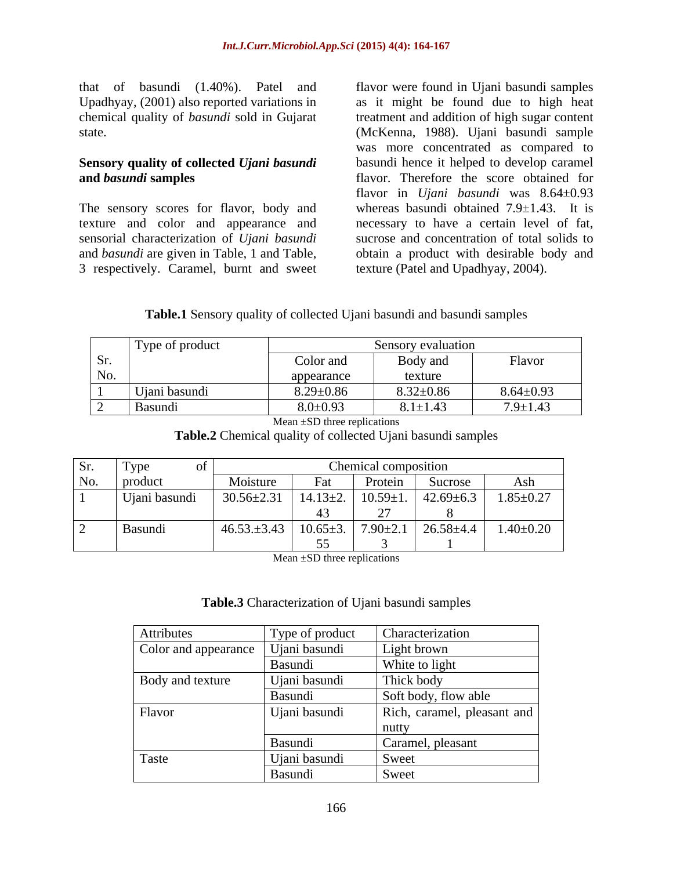that of basundi (1.40%). Patel and flavor were found in Ujani basundi samples

The sensory scores for flavor, body and texture and color and appearance and 3 respectively. Caramel, burnt and sweet

Upadhyay, (2001) also reported variations in as it might be found due to high heat chemical quality of *basundi* sold in Gujarat treatment and addition of high sugar content state. (McKenna, 1988). Ujani basundi sample **Sensory quality of collected** *Ujani basundi* basundi hence it helped to develop caramel **and** *basundi* **samples**  flavor. Therefore the score obtained for sensorial characterization of *Ujani basundi* sucrose and concentration of total solids to and *basundi* are given in Table, 1 and Table,  $\qquad$  obtain a product with desirable body and was more concentrated as compared to flavor in *Ujani basundi* was 8.64±0.93 whereas basundi obtained  $7.9 \pm 1.43$ . It is necessary to have a certain level of fat, texture (Patel and Upadhyay, 2004).

## **Table.1** Sensory quality of collected Ujani basundi and basundi samples

|                | Type of product               | Sensory evaluation         |                 |                 |  |
|----------------|-------------------------------|----------------------------|-----------------|-----------------|--|
| Sr.            |                               | $\sim$ $\sim$<br>Color and | Body and        | <b>Flavor</b>   |  |
| No.            |                               | appearance                 | texture         |                 |  |
|                | $\mathbf{r}$<br>Jiani basundi | $8.29 \pm 0.86$            | $8.32 \pm 0.86$ | $8.64 \pm 0.93$ |  |
| $\overline{a}$ | Basundi                       | $8.0 \pm 0.93$             | $8.1 \pm 1.43$  | $7.9 \pm 1.43$  |  |

Mean ±SD three replications

**Table.2** Chemical quality of collected Ujani basundi samples

| Sr. | Type          |                  |                      | Chemical composition |                 |                 |
|-----|---------------|------------------|----------------------|----------------------|-----------------|-----------------|
| No. | product       | Moisture         | $\mathbf{r}$<br>F at | Protein              | Sucrose         | Ash             |
|     | Ujani basundi | $30.56 \pm 2.31$ | $14.13+2$            | $10.59 \pm 1.$       | $42.69 \pm 6.3$ | $1.85 \pm 0.27$ |
|     |               |                  |                      |                      |                 |                 |
|     | Basundi       | $46.53 \pm 3.43$ | $10.65 \pm 3.$       | $7.90 \pm 2.$        | $26.58 \pm 4.4$ | $1.40{\pm}0.20$ |
|     |               |                  |                      |                      |                 |                 |

Mean ±SD three replications

### **Table.3** Characterization of Ujani basundi samples

| Attributes               | Type of product | Characterization            |
|--------------------------|-----------------|-----------------------------|
| Color and appearance   ' | Ujani basundi   | Light brown                 |
|                          | Basundi         | White to light              |
| Body and texture         | Ujani basundi   | Thick body                  |
|                          | Basundi         | Soft body, flow able        |
| Flavor                   | Ujani basundi   | Rich, caramel, pleasant and |
|                          |                 | nutty                       |
|                          | Basundi         | Caramel, pleasant           |
| Taste                    | Ujani basundi   | Sweet                       |
|                          | Basundi         | Sweet                       |